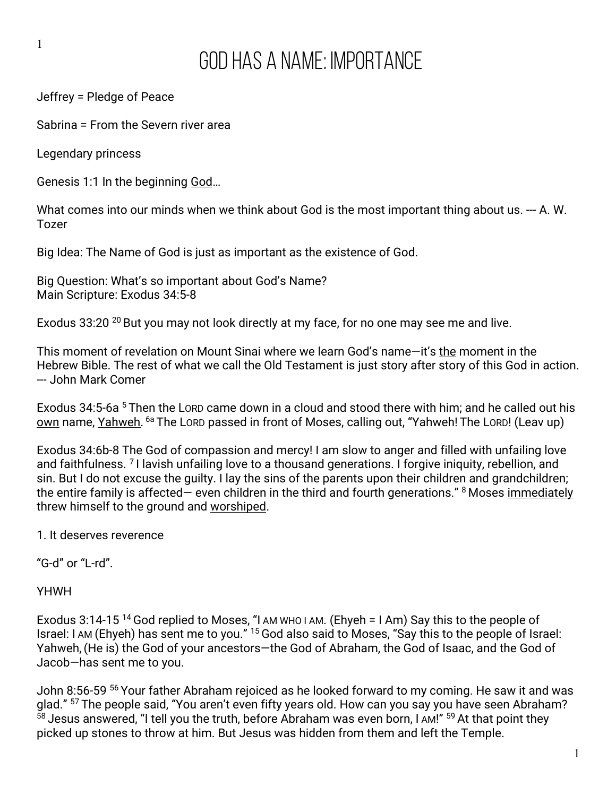## God Has A Name: Importance

Jeffrey = Pledge of Peace

Sabrina = From the Severn river area

Legendary princess

1

Genesis 1:1 In the beginning God...

What comes into our minds when we think about God is the most important thing about us. --- A. W. Tozer

Big Idea: The Name of God is just as important as the existence of God.

Big Question: What's so important about God's Name? Main Scripture: Exodus 34:5-8

Exodus 33:20<sup>20</sup> But you may not look directly at my face, for no one may see me and live.

This moment of revelation on Mount Sinai where we learn God's name—it's the moment in the Hebrew Bible. The rest of what we call the Old Testament is just story after story of this God in action. --- John Mark Comer

Exodus 34:5-6a <sup>5</sup> Then the LORD came down in a cloud and stood there with him; and he called out his own name, Yahweh. <sup>6a</sup> The LORD passed in front of Moses, calling out, "Yahweh! The LORD! (Leav up)

Exodus 34:6b-8 The God of compassion and mercy! I am slow to anger and filled with unfailing love and faithfulness. <sup>7</sup> I lavish unfailing love to a thousand generations. I forgive iniquity, rebellion, and sin. But I do not excuse the guilty. I lay the sins of the parents upon their children and grandchildren; the entire family is affected— even children in the third and fourth generations."  $8$  Moses immediately threw himself to the ground and worshiped.

1. It deserves reverence

"G-d" or "L-rd".

YHWH

Exodus 3:14-15<sup>14</sup> God replied to Moses, "I AM WHO I AM. (Ehyeh = I Am) Say this to the people of Israel: I AM (Ehyeh) has sent me to you." <sup>15</sup> God also said to Moses, "Say this to the people of Israel: Yahweh,(He is) the God of your ancestors—the God of Abraham, the God of Isaac, and the God of Jacob—has sent me to you.

John 8:56-59 <sup>56</sup> Your father Abraham rejoiced as he looked forward to my coming. He saw it and was glad." <sup>57</sup> The people said, "You aren't even fifty years old. How can you say you have seen Abraham?  $58$  Jesus answered, "I tell you the truth, before Abraham was even born, I AM!"  $59$  At that point they picked up stones to throw at him. But Jesus was hidden from them and left the Temple.

1